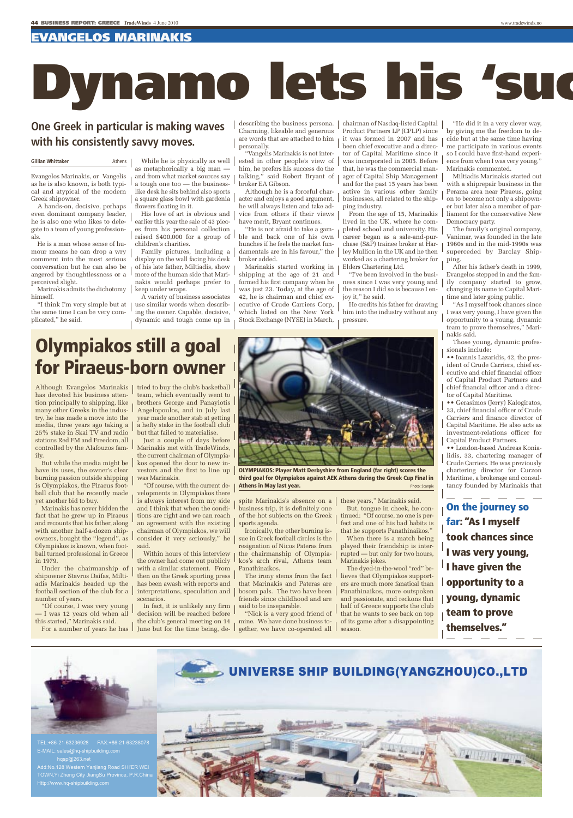## evangelos marinakis

# Dynamo lets his 's

## **One Greek in particular is making waves with his consistently savvy moves.**

### **Gillian Whittaker Athens**

Evangelos Marinakis, or Vangelis as he is also known, is both typical and atypical of the modern Greek shipowner.

A hands-on, decisive, perhaps even dominant company leader, he is also one who likes to delegate to a team of young professionals.

He is a man whose sense of humour means he can drop a wry comment into the most serious conversation but he can also be angered by thoughtlessness or a perceived slight.

Marinakis admits the dichotomy himself.

"I think I'm very simple but at the same time I can be very complicated," he said.

While he is physically as well | as metaphorically a big man and from what market sources say a tough one too — the businesslike desk he sits behind also sports a square glass bowl with gardenia flowers floating in it.

His love of art is obvious and earlier this year the sale of 43 pieces from his personal collection raised \$400,000 for a group of children's charities.

Family pictures, including a display on the wall facing his desk of his late father, Miltiadis, show more of the human side that Marinakis would perhaps prefer to keep under wraps.

A variety of business associates use similar words when describing the owner. Capable, decisive, dynamic and tough come up in describing the business persona. Charming, likeable and generous are words that are attached to him personally.

"Vangelis Marinakis is not interested in other people's view of him, he prefers his success do the talking," said Robert Bryant of broker EA Gibson.

Although he is a forceful character and enjoys a good argument, he will always listen and take advice from others if their views have merit, Bryant continues.

"He is not afraid to take a gamble and back one of his own hunches if he feels the market fundamentals are in his favour," the broker added.

Marinakis started working in shipping at the age of 21 and formed his first company when he was just 23. Today, at the age of 42, he is chairman and chief executive of Crude Carriers Corp, which listed on the New York Stock Exchange (NYSE) in March,

chairman of Nasdaq-listed Capital Product Partners LP (CPLP) since it was formed in 2007 and has been chief executive and a director of Capital Maritime since it was incorporated in 2005. Before that, he was the commercial manager of Capital Ship Management and for the past 15 years has been active in various other family businesses, all related to the shipping industry.

From the age of 15, Marinakis lived in the UK, where he completed school and university. His career began as a sale-and-purchase (S&P) trainee broker at Harley Mullion in the UK and he then worked as a chartering broker for Elders Chartering Ltd.

"I've been involved in the business since I was very young and the reason I did so is because I enjoy it," he said.

He credits his father for drawing him into the industry without any pressure.

"He did it in a very clever way, by giving me the freedom to decide but at the same time having me participate in various events so I could have first-hand experience from when I was very young," Marinakis commented.

Miltiadis Marinakis started out with a shiprepair business in the Perama area near Piraeus, going on to become not only a shipowner but later also a member of parliament for the conservative New Democracy party.

The family's original company, Vanimar, was founded in the late 1960s and in the mid-1990s was superceded by Barclay Shipping.

After his father's death in 1999, Evangelos stepped in and the family company started to grow, changing its name to Capital Maritime and later going public.

"As I myself took chances since I was very young, I have given the opportunity to a young, dynamic team to prove themselves," Marinakis said.

Those young, dynamic professionals include:

•• Ioannis Lazaridis, 42, the president of Crude Carriers, chief executive and chief financial officer of Capital Product Partners and chief financial officer and a director of Capital Maritime.

•• Gerasimos (Jerry) Kalogiratos, 33, chief financial officer of Crude Carriers and finance director of Capital Maritime. He also acts as investment-relations officer for Capital Product Partners.

•• London-based Andreas Konialidis, 33, chartering manager of Crude Carriers. He was previously chartering director for Curzon Maritime, a brokerage and consultancy founded by Marinakis that

On the journey so far: "As I myself took chances since I was very young, I have given the opportunity to a young, dynamic team to prove themselves."

## Olympiakos still a goal for Piraeus-born owner

Although Evangelos Marinakis has devoted his business attention principally to shipping, like many other Greeks in the industry, he has made a move into the media, three years ago taking a 25% stake in Skai TV and radio stations Red FM and Freedom, all controlled by the Alafouzos family.

But while the media might be have its uses, the owner's clear burning passion outside shipping is Olympiakos, the Piraeus football club that he recently made yet another bid to buy.

Marinakis has never hidden the fact that he grew up in Piraeus and recounts that his father, along with another half-a-dozen shipowners, bought the "legend", as Olympiakos is known, when football turned professional in Greece in 1979.

Under the chairmanship of shipowner Stavros Daifas, Miltiadis Marinakis headed up the football section of the club for a number of years.

"Of course, I was very young — I was 12 years old when all this started," Marinakis said.

For a number of years he has



Just a couple of days before Marinakis met with TradeWinds, the current chairman of Olympiakos opened the door to new investors and the first to line up was Marinakis.

"Of course, with the current developments in Olympiakos there is always interest from my side and I think that when the conditions are right and we can reach an agreement with the existing chairman of Olympiakos, we will consider it very seriously," he  $\vert$  sue in Greek football circles is the said.

Within hours of this interview the owner had come out publicly with a similar statement. From then on the Greek sporting press has been awash with reports and interpretations, speculation and scenarios.

In fact, it is unlikely any firm decision will be reached before the club's general meeting on 14 June but for the time being, de-

OlymPiakOs: Player matt Derbyshire from England (far right) scores the

third goal for Olympiakos against aEk athens during the Greek Cup Final in

these years," Marinakis said. But, tongue in cheek, he continued: "Of course, no one is perfect and one of his bad habits is that he supports Panathinaikos."

When there is a match being played their friendship is interrupted — but only for two hours, Marinakis jokes.

lieves that Olympiakos supporters are much more fanatical than Panathinaikos, more outspoken and passionate, and reckons that half of Greece supports the club that he wants to see back on top of its game after a disappointing season.



that Marinakis and Pateras are

friends since childhood and are

"Nick is a very good friend of mine. We have done business to-

said to be inseparable.

sports agenda.

Panathinaikos.

TOWN,Yi Zheng City JiangSu Province, P.R.China Http://www.hq-shipbuilding.com

spite Marinakis's absence on a business trip, it is definitely one of the hot subjects on the Greek **Athens in May last year.** Photo: Scanpix

Ironically, the other burning is-

resignation of Nicos Pateras from the chairmanship of Olympiakos's arch rival, Athens team

The irony stems from the fact bosom pals. The two have been gether, we have co-operated all The dyed-in-the-wool "red" be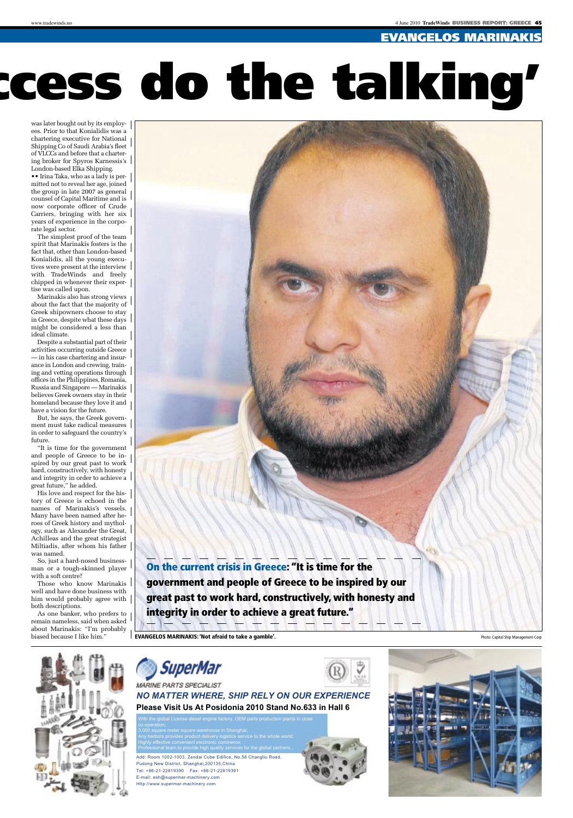www.tradewinds.no 4 June 2010 **TradeWinds** BUSINESS REPORT: GREECE 45

## evangelos marinai

# cess do the talking'

was later bought out by its employees. Prior to that Konialidis was a chartering executive for National Shipping Co of Saudi Arabia's fleet of VLCCs and before that a chartering broker for Spyros Karnessis's London-based Elka Shipping.

•• Irina Taka, who as a lady is permitted not to reveal her age, joined the group in late 2007 as general counsel of Capital Maritime and is now corporate officer of Crude Carriers, bringing with her six years of experience in the corporate legal sector.

The simplest proof of the team spirit that Marinakis fosters is the fact that, other than London-based Konialidis, all the young executives were present at the interview with TradeWinds and freely chipped in whenever their expertise was called upon.

Marinakis also has strong views about the fact that the majority of Greek shipowners choose to stay in Greece, despite what these days might be considered a less than ideal climate.

Despite a substantial part of their activities occurring outside Greece — in his case chartering and insurance in London and crewing, training and vetting operations through offices in the Philippines, Romania, Russia and Singapore — Marinakis believes Greek owners stay in their homeland because they love it and have a vision for the future.

But, he says, the Greek government must take radical measures in order to safeguard the country's future.

"It is time for the government and people of Greece to be inspired by our great past to work hard, constructively, with honesty and integrity in order to achieve a great future," he added.

His love and respect for the history of Greece is echoed in the names of Marinakis's vessels. Many have been named after heroes of Greek history and mythology, such as Alexander the Great, Achilleas and the great strategist Miltiadis, after whom his father was named.

So, just a hard-nosed businessman or a tough-skinned player with a soft centre?

Those who know Marinakis well and have done business with him would probably agree with both descriptions.

As one banker, who prefers to remain nameless, said when asked about Marinakis: "I'm probably biased because I like him.'

di Alh

On the current crisis in Greece: "It is time for the government and people of Greece to be inspired by our great past to work hard, constructively, with honesty and integrity in order to achieve a great future."

EVANGELOS MARINAKIS: 'Not afraid to take a gamble'. Photo: Capital Ship Management Corp.



**Please Visit Us At Posidonia 2010 Stand No.633 in Hall 6**  *NO MATTER WHERE, SHIP RELY ON OUR EXPERIENCE*

Add: Room 1002-1003, Zendai Cube Edifice, No.58 Changliu Road, Pudong New District, Shanghai,200135,China Tel: +86-21-22819390 Fax: +86-21-22819391 E-mail: esh@supermar-machinery.com Http://www.supermar-machinery.com







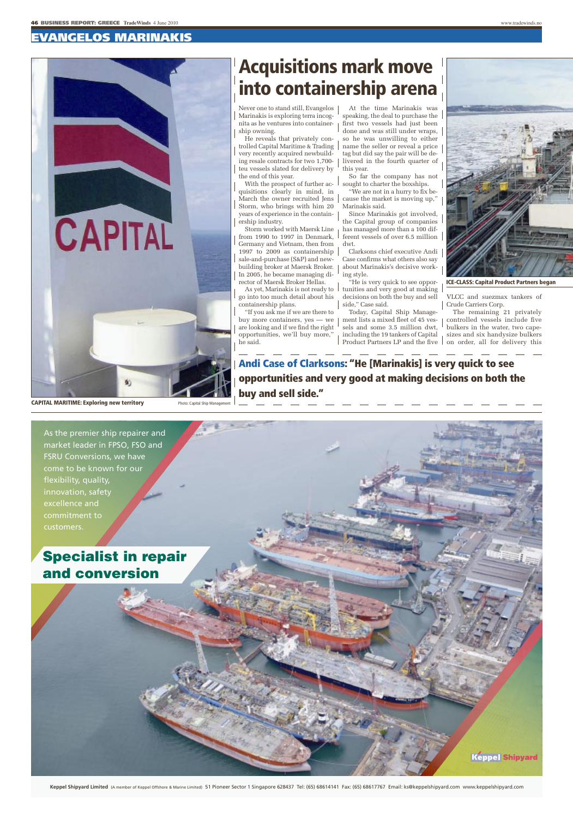## evangelos marinakis

CAPITAL

## Acquisitions mark move into containership arena

Never one to stand still, Evangelos Marinakis is exploring terra incognita as he ventures into containership owning.

He reveals that privately controlled Capital Maritime & Trading very recently acquired newbuilding resale contracts for two 1,700 teu vessels slated for delivery by the end of this year.

With the prospect of further acquisitions clearly in mind, in March the owner recruited Jens Storm, who brings with him 20 years of experience in the containership industry.

Storm worked with Maersk Line from 1990 to 1997 in Denmark, Germany and Vietnam, then from 1997 to 2009 as containership sale-and-purchase (S&P) and newbuilding broker at Maersk Broker. In 2005, he became managing director of Maersk Broker Hellas.

As yet, Marinakis is not ready to go into too much detail about his containership plans.

"If you ask me if we are there to buy more containers, yes — we are looking and if we find the right opportunities, we'll buy more," he said.

At the time Marinakis was speaking, the deal to purchase the first two vessels had just been done and was still under wraps, so he was unwilling to either name the seller or reveal a price tag but did say the pair will be delivered in the fourth quarter of this year.

So far the company has not sought to charter the boxships.

"We are not in a hurry to fix because the market is moving up," Marinakis said.

Since Marinakis got involved, the Capital group of companies has managed more than a 100 different vessels of over 6.5 million dwt.

Clarksons chief executive Andi Case confirms what others also say about Marinakis's decisive working style.

"He is very quick to see opportunities and very good at making decisions on both the buy and sell side," Case said.

Today, Capital Ship Management lists a mixed fleet of 45 vessels and some 3.5 million dwt, including the 19 tankers of Capital Product Partners LP and the five

VLCC and suezmax tankers of Crude Carriers Corp.

The remaining 21 privately controlled vessels include five bulkers in the water, two capesizes and six handysize bulkers on order, all for delivery this

**CAPITAL MARITIME: Exploring new territory** 

蚧

Andi Case of Clarksons: "He [Marinakis] is very quick to see opportunities and very good at making decisions on both the buy and sell side."



**Keppel Shipyard Limited** (A member of Keppel Offshore & Marine Limited) 51 Pioneer Sector 1 Singapore 628437 Tel: (65) 68614141 Fax: (65) 68617767 Email: ks@keppelshipyard.com www.keppelshipyard.com

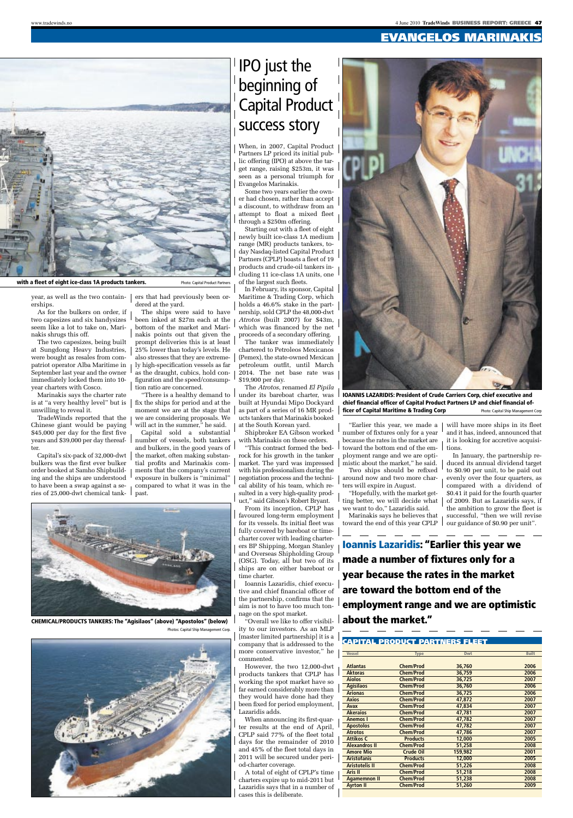www.tradewinds.no 4 June 2010 **TradeWinds** BUSINESS REPORT: GREECE 47

## evangelos marinakis



#### with a fleet of eight ice-class 1A products tankers. Photo: Capital Product Partners

year, as well as the two containerships. As for the bulkers on order, if

two capesizes and six handysizes seem like a lot to take on, Marinakis shrugs this off.

The two capesizes, being built at Sungdong Heavy Industries, were bought as resales from compatriot operator Alba Maritime in September last year and the owner immediately locked them into 10 year charters with Cosco.

Marinakis says the charter rate is at "a very healthy level" but is unwilling to reveal it.

TradeWinds reported that the Chinese giant would be paying \$45,000 per day for the first five years and \$39,000 per day thereafter.

Capital's six-pack of 32,000-dwt bulkers was the first ever bulker order booked at Samho Shipbuilding and the ships are understood to have been a swap against a series of 25,000-dwt chemical tank-

ers that had previously been ordered at the yard.

The ships were said to have been inked at \$27m each at the bottom of the market and Marinakis points out that given the prompt deliveries this is at least 25% lower than today's levels. He also stresses that they are extremely high-specification vessels as far as the draught, cubics, hold configuration and the speed/consumption ratio are concerned.

"There is a healthy demand to fix the ships for period and at the moment we are at the stage that we are considering proposals. We will act in the summer," he said.

Capital sold a substantial number of vessels, both tankers and bulkers, in the good years of the market, often making substantial profits and Marinakis comments that the company's current exposure in bulkers is "minimal" compared to what it was in the past.



IPO just the

beginning of

er had chosen, rather than accept a discount, to withdraw from an attempt to float a mixed fleet through a \$250m offering.

Starting out with a fleet of eight newly built ice-class 1A medium range (MR) products tankers, today Nasdaq-listed Capital Product Partners (CPLP) boasts a fleet of 19 products and crude-oil tankers including 11 ice-class 1A units, one of the largest such fleets.

In February, its sponsor, Capital Maritime & Trading Corp, which holds a 46.6% stake in the partnership, sold CPLP the 48,000-dwt *Atrotos* (built 2007) for \$43m, which was financed by the net proceeds of a secondary offering.

The tanker was immediately chartered to Petroleos Mexicanos (Pemex), the state-owned Mexican petroleum outfit, until March 2014. The net base rate was \$19,900 per day.

The *Atrotos*, renamed *El Pipila* under its bareboat charter, was built at Hyundai Mipo Dockyard as part of a series of 16 MR products tankers that Marinakis booked at the South Korean yard.

Shipbroker EA Gibson worked with Marinakis on these orders.

"This contract formed the bedrock for his growth in the tanker market. The yard was impressed with his professionalism during the negotiation process and the technical ability of his team, which resulted in a very high-quality product," said Gibson's Robert Bryant.

From its inception, CPLP has favoured long-term employment for its vessels. Its initial fleet was fully covered by bareboat or timecharter cover with leading charterers BP Shipping, Morgan Stanley and Overseas Shipholding Group (OSG). Today, all but two of its ships are on either bareboat or time charter.

Ioannis Lazaridis, chief executive and chief financial officer of the partnership, confirms that the aim is not to have too much tonnage on the spot market.

"Overall we like to offer visibility to our investors. As an MLP [master limited partnership] it is a company that is addressed to the more conservative investor," he commented.

However, the two 12,000-dwt products tankers that CPLP has working the spot market have so far earned considerably more than they would have done had they been fixed for period employment, Lazaridis adds.

When announcing its first-quarter results at the end of April, CPLP said 77% of the fleet total days for the remainder of 2010 and 45% of the fleet total days in 2011 will be secured under period-charter coverage.

A total of eight of CPLP's time charters expire up to mid-2011 but Lazaridis says that in a number of cases this is deliberate.



IOANNIS LAZARIDIS: President of Crude Carriers Corp, chief executive and chief financial officer of capital Product Partners lP and chief financial officer of Capital Maritime & Trading Corp Photo: Capital Ship Management Corp

"Earlier this year, we made a number of fixtures only for a year because the rates in the market are toward the bottom end of the employment range and we are optimistic about the market," he said.

Two ships should be refixed around now and two more charters will expire in August.

"Hopefully, with the market getting better, we will decide what we want to do," Lazaridis said.

Marinakis says he believes that

will have more ships in its fleet and it has, indeed, announced that it is looking for accretive acquisitions.

toward the end of this year CPLP  $\perp$  our guidance of \$0.90 per unit". In January, the partnership reduced its annual dividend target to \$0.90 per unit, to be paid out evenly over the four quarters, as compared with a dividend of \$0.41 it paid for the fourth quarter of 2009. But as Lazaridis says, if the ambition to grow the fleet is successful, "then we will revise

Ioannis Lazaridis: "Earlier this year we made a number of fixtures only for a year because the rates in the market are toward the bottom end of the employment range and we are optimistic

### Capital produCt partners Fleet

| <b>Vessel</b>         | <b>Type</b>      | Dwt     | <b>Built</b> |
|-----------------------|------------------|---------|--------------|
|                       |                  |         |              |
| <b>Atlantas</b>       | <b>Chem/Prod</b> | 36,760  | 2006         |
| <b>Aktoras</b>        | <b>Chem/Prod</b> | 36,759  | 2006         |
| <b>Aiolos</b>         | <b>Chem/Prod</b> | 36,725  | 2007         |
| <b>Agisilaos</b>      | <b>Chem/Prod</b> | 36,760  | 2006         |
| <b>Arionas</b>        | <b>Chem/Prod</b> | 36,725  | 2006         |
| <b>Axios</b>          | <b>Chem/Prod</b> | 47,872  | 2007         |
| Avax                  | <b>Chem/Prod</b> | 47,834  | 2007         |
| <b>Akeraios</b>       | <b>Chem/Prod</b> | 47,781  | 2007         |
| <b>Anemos</b> I       | <b>Chem/Prod</b> | 47,782  | 2007         |
| <b>Apostolos</b>      | <b>Chem/Prod</b> | 47,782  | 2007         |
| <b>Atrotos</b>        | <b>Chem/Prod</b> | 47,786  | 2007         |
| <b>Attikos C</b>      | <b>Products</b>  | 12,000  | 2005         |
| <b>Alexandros II</b>  | <b>Chem/Prod</b> | 51,258  | 2008         |
| <b>Amore Mio</b>      | <b>Crude Oil</b> | 159,982 | 2001         |
| <b>Aristofanis</b>    | <b>Products</b>  | 12,000  | 2005         |
| <b>Aristotelis II</b> | <b>Chem/Prod</b> | 51,226  | 2008         |
| <b>Aris II</b>        | <b>Chem/Prod</b> | 51,218  | 2008         |
| <b>Agamemnon II</b>   | <b>Chem/Prod</b> | 51,238  | 2008         |
| <b>Ayrton II</b>      | <b>Chem/Prod</b> | 51.260  | 2009         |
|                       |                  |         |              |



**CHEMICAL/PRODUCTS TANKERS: The "Agisilaos" (above) "Apostolos" (below)**  $\frac{1}{2}$   $\frac{1}{2}$   $\frac{1}{2}$   $\frac{1}{2}$   $\frac{1}{2}$   $\frac{1}{2}$   $\frac{1}{2}$   $\frac{1}{2}$   $\frac{1}{2}$   $\frac{1}{2}$   $\frac{1}{2}$   $\frac{1}{2}$   $\frac{1}{2}$   $\frac{1}{2}$   $\frac{1}{2}$ Photos: Capital Ship Management Corp.